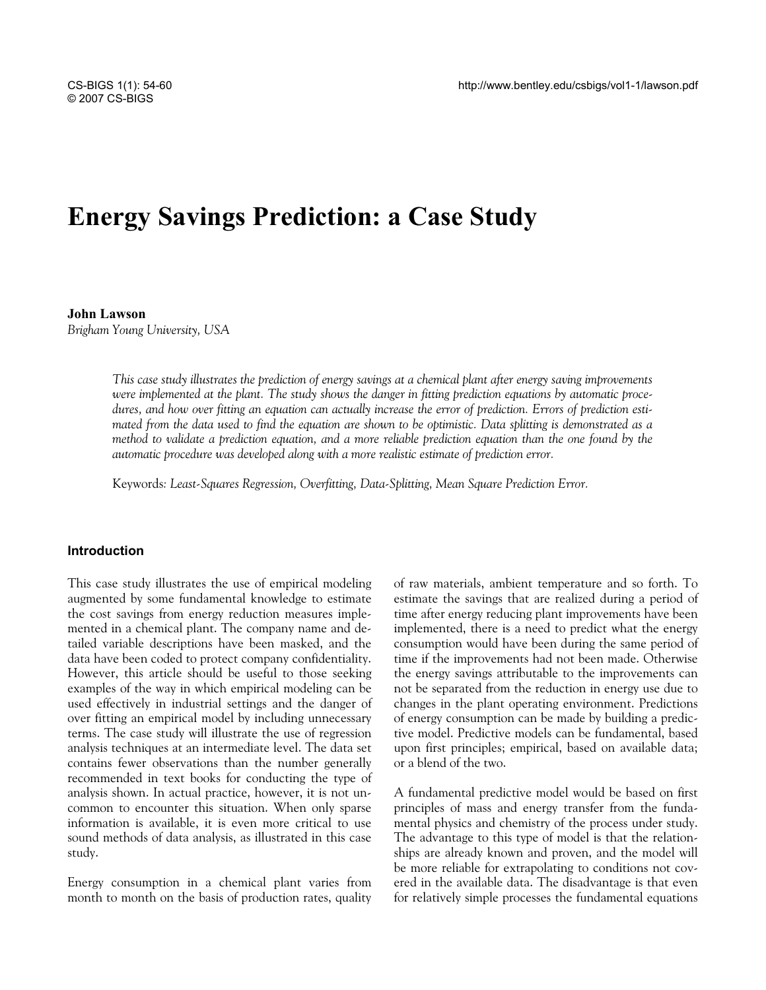# **Energy Savings Prediction: a Case Study**

**John Lawson**  *Brigham Young University, USA* 

> *This case study illustrates the prediction of energy savings at a chemical plant after energy saving improvements were implemented at the plant. The study shows the danger in fitting prediction equations by automatic procedures, and how over fitting an equation can actually increase the error of prediction. Errors of prediction estimated from the data used to find the equation are shown to be optimistic. Data splitting is demonstrated as a method to validate a prediction equation, and a more reliable prediction equation than the one found by the automatic procedure was developed along with a more realistic estimate of prediction error.*

Keywords*: Least-Squares Regression, Overfitting, Data-Splitting, Mean Square Prediction Error.* 

### **Introduction**

This case study illustrates the use of empirical modeling augmented by some fundamental knowledge to estimate the cost savings from energy reduction measures implemented in a chemical plant. The company name and detailed variable descriptions have been masked, and the data have been coded to protect company confidentiality. However, this article should be useful to those seeking examples of the way in which empirical modeling can be used effectively in industrial settings and the danger of over fitting an empirical model by including unnecessary terms. The case study will illustrate the use of regression analysis techniques at an intermediate level. The data set contains fewer observations than the number generally recommended in text books for conducting the type of analysis shown. In actual practice, however, it is not uncommon to encounter this situation. When only sparse information is available, it is even more critical to use sound methods of data analysis, as illustrated in this case study.

Energy consumption in a chemical plant varies from month to month on the basis of production rates, quality of raw materials, ambient temperature and so forth. To estimate the savings that are realized during a period of time after energy reducing plant improvements have been implemented, there is a need to predict what the energy consumption would have been during the same period of time if the improvements had not been made. Otherwise the energy savings attributable to the improvements can not be separated from the reduction in energy use due to changes in the plant operating environment. Predictions of energy consumption can be made by building a predictive model. Predictive models can be fundamental, based upon first principles; empirical, based on available data; or a blend of the two.

A fundamental predictive model would be based on first principles of mass and energy transfer from the fundamental physics and chemistry of the process under study. The advantage to this type of model is that the relationships are already known and proven, and the model will be more reliable for extrapolating to conditions not covered in the available data. The disadvantage is that even for relatively simple processes the fundamental equations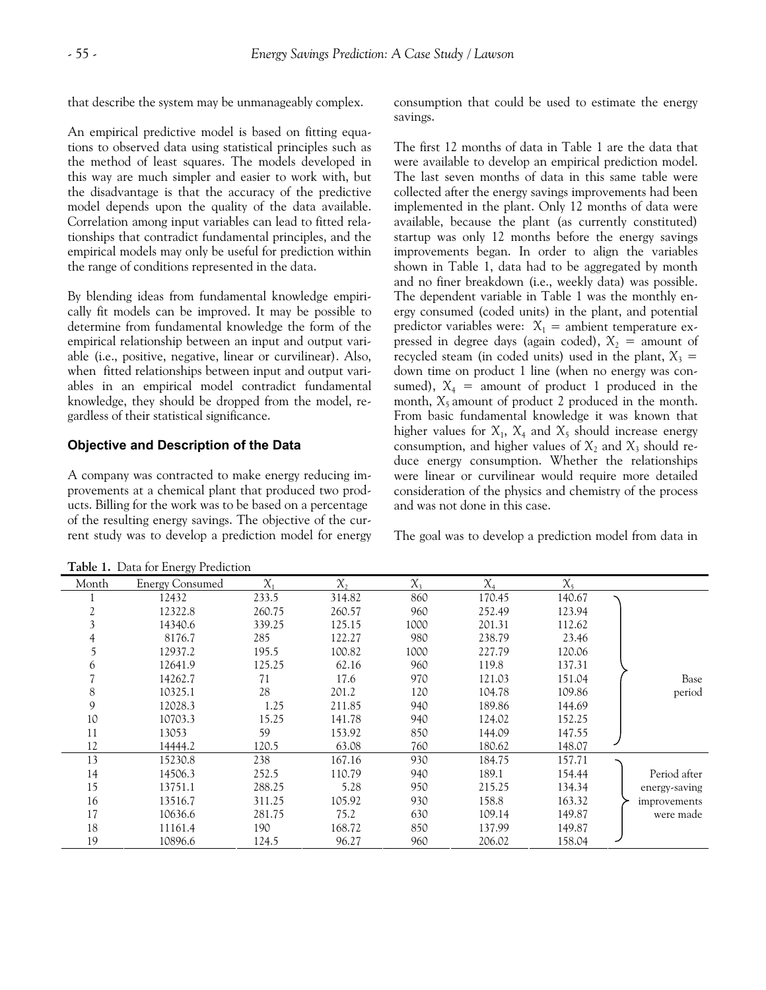that describe the system may be unmanageably complex.

An empirical predictive model is based on fitting equations to observed data using statistical principles such as the method of least squares. The models developed in this way are much simpler and easier to work with, but the disadvantage is that the accuracy of the predictive model depends upon the quality of the data available. Correlation among input variables can lead to fitted relationships that contradict fundamental principles, and the empirical models may only be useful for prediction within the range of conditions represented in the data.

By blending ideas from fundamental knowledge empirically fit models can be improved. It may be possible to determine from fundamental knowledge the form of the empirical relationship between an input and output variable (i.e., positive, negative, linear or curvilinear). Also, when fitted relationships between input and output variables in an empirical model contradict fundamental knowledge, they should be dropped from the model, regardless of their statistical significance.

# **Objective and Description of the Data**

A company was contracted to make energy reducing improvements at a chemical plant that produced two products. Billing for the work was to be based on a percentage of the resulting energy savings. The objective of the current study was to develop a prediction model for energy consumption that could be used to estimate the energy savings.

The first 12 months of data in Table 1 are the data that were available to develop an empirical prediction model. The last seven months of data in this same table were collected after the energy savings improvements had been implemented in the plant. Only 12 months of data were available, because the plant (as currently constituted) startup was only 12 months before the energy savings improvements began. In order to align the variables shown in Table 1, data had to be aggregated by month and no finer breakdown (i.e., weekly data) was possible. The dependent variable in Table 1 was the monthly energy consumed (coded units) in the plant, and potential predictor variables were:  $X_1$  = ambient temperature expressed in degree days (again coded),  $X_2$  = amount of recycled steam (in coded units) used in the plant,  $X_3$  = down time on product 1 line (when no energy was consumed),  $X_4$  = amount of product 1 produced in the month,  $X_5$  amount of product 2 produced in the month. From basic fundamental knowledge it was known that higher values for  $X_1$ ,  $X_4$  and  $X_5$  should increase energy consumption, and higher values of  $X_2$  and  $X_3$  should reduce energy consumption. Whether the relationships were linear or curvilinear would require more detailed consideration of the physics and chemistry of the process and was not done in this case.

The goal was to develop a prediction model from data in

| Month | <b>Energy Consumed</b> | $X_{1}$ | $\chi$ , | $X_{3}$ | $X_4$  | $X_5$  |               |
|-------|------------------------|---------|----------|---------|--------|--------|---------------|
|       | 12432                  | 233.5   | 314.82   | 860     | 170.45 | 140.67 |               |
|       | 12322.8                | 260.75  | 260.57   | 960     | 252.49 | 123.94 |               |
|       | 14340.6                | 339.25  | 125.15   | 1000    | 201.31 | 112.62 |               |
|       | 8176.7                 | 285     | 122.27   | 980     | 238.79 | 23.46  |               |
|       | 12937.2                | 195.5   | 100.82   | 1000    | 227.79 | 120.06 |               |
| 6     | 12641.9                | 125.25  | 62.16    | 960     | 119.8  | 137.31 |               |
|       | 14262.7                | 71      | 17.6     | 970     | 121.03 | 151.04 | Base          |
| 8     | 10325.1                | 28      | 201.2    | 120     | 104.78 | 109.86 | period        |
| 9     | 12028.3                | 1.25    | 211.85   | 940     | 189.86 | 144.69 |               |
| 10    | 10703.3                | 15.25   | 141.78   | 940     | 124.02 | 152.25 |               |
| 11    | 13053                  | 59      | 153.92   | 850     | 144.09 | 147.55 |               |
| 12    | 14444.2                | 120.5   | 63.08    | 760     | 180.62 | 148.07 |               |
| 13    | 15230.8                | 238     | 167.16   | 930     | 184.75 | 157.71 |               |
| 14    | 14506.3                | 252.5   | 110.79   | 940     | 189.1  | 154.44 | Period after  |
| 15    | 13751.1                | 288.25  | 5.28     | 950     | 215.25 | 134.34 | energy-saving |
| 16    | 13516.7                | 311.25  | 105.92   | 930     | 158.8  | 163.32 | improvements  |
| 17    | 10636.6                | 281.75  | 75.2     | 630     | 109.14 | 149.87 | were made     |
| 18    | 11161.4                | 190     | 168.72   | 850     | 137.99 | 149.87 |               |
| 19    | 10896.6                | 124.5   | 96.27    | 960     | 206.02 | 158.04 |               |

**Table 1.** Data for Energy Prediction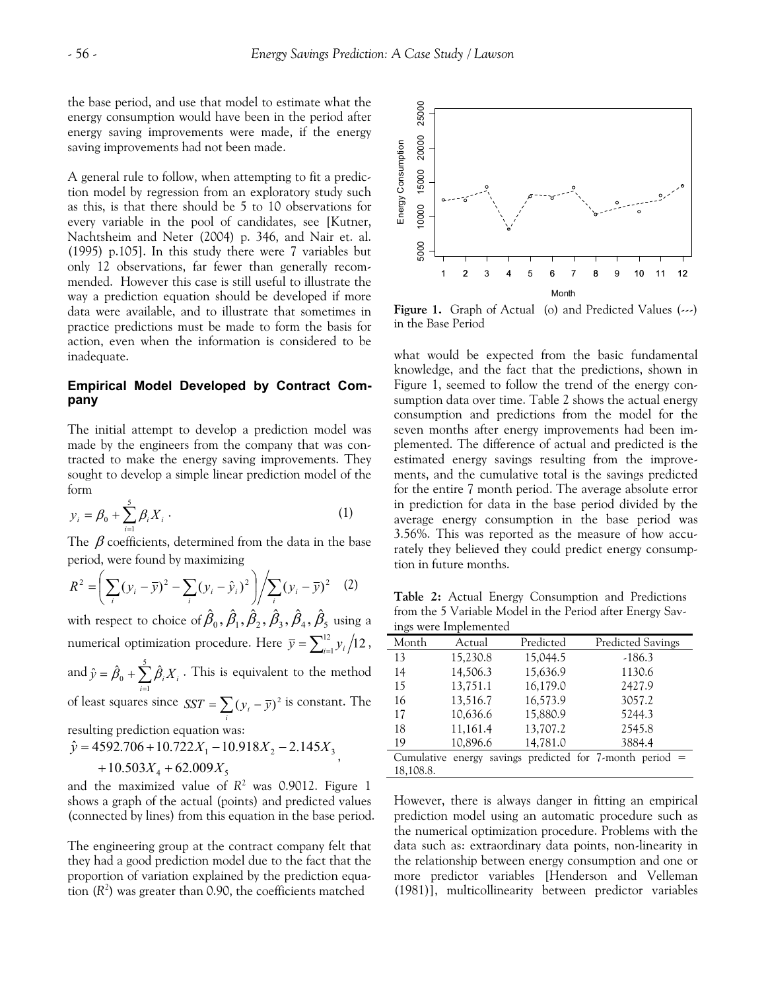the base period, and use that model to estimate what the energy consumption would have been in the period after energy saving improvements were made, if the energy saving improvements had not been made.

A general rule to follow, when attempting to fit a prediction model by regression from an exploratory study such as this, is that there should be 5 to 10 observations for every variable in the pool of candidates, see [Kutner, Nachtsheim and Neter (2004) p. 346, and Nair et. al. (1995) p.105]. In this study there were 7 variables but only 12 observations, far fewer than generally recommended. However this case is still useful to illustrate the way a prediction equation should be developed if more data were available, and to illustrate that sometimes in practice predictions must be made to form the basis for action, even when the information is considered to be inadequate.

#### **Empirical Model Developed by Contract Company**

The initial attempt to develop a prediction model was made by the engineers from the company that was contracted to make the energy saving improvements. They sought to develop a simple linear prediction model of the form

$$
y_i = \beta_0 + \sum_{i=1}^{5} \beta_i X_i \,. \tag{1}
$$

The  $\beta$  coefficients, determined from the data in the base period, were found by maximizing

$$
R^{2} = \left(\sum_{i} (y_{i} - \overline{y})^{2} - \sum_{i} (y_{i} - \hat{y}_{i})^{2}\right) / \sum_{i} (y_{i} - \overline{y})^{2} \quad (2)
$$

with respect to choice of  $\hat{\beta}_0$  ,  $\hat{\beta}_1$  ,  $\hat{\beta}_2$  ,  $\hat{\beta}_3$  ,  $\hat{\beta}_4$  ,  $\hat{\beta}_5$  using a numerical optimization procedure. Here  $\bar{y} = \sum_{i=1}^{12} y_i / 12$ ,

and  $\hat{y} = \hat{\beta}_0 + \sum_{i=1}^5 \hat{\beta}_i X_i$ . This is equivalent to the method  $\hat{y} = \hat{\beta}_0 + \sum_{i=1}^{5} \hat{\beta}_i X_i$ 

of least squares since  $SST = \sum_{i} (y_i - \overline{y})^2$  is constant. The

resulting prediction equation was:

$$
\hat{y} = 4592.706 + 10.722X_1 - 10.918X_2 - 2.145X_3
$$
  
+ 10.503X<sub>4</sub> + 62.009X<sub>5</sub>

and the maximized value of *R*<sup>2</sup> was 0.9012. Figure 1 shows a graph of the actual (points) and predicted values (connected by lines) from this equation in the base period.

The engineering group at the contract company felt that they had a good prediction model due to the fact that the proportion of variation explained by the prediction equation  $(R^2)$  was greater than 0.90, the coefficients matched



**Figure 1.** Graph of Actual (o) and Predicted Values (---) in the Base Period

what would be expected from the basic fundamental knowledge, and the fact that the predictions, shown in Figure 1, seemed to follow the trend of the energy consumption data over time. Table 2 shows the actual energy consumption and predictions from the model for the seven months after energy improvements had been implemented. The difference of actual and predicted is the estimated energy savings resulting from the improvements, and the cumulative total is the savings predicted for the entire 7 month period. The average absolute error in prediction for data in the base period divided by the average energy consumption in the base period was 3.56%. This was reported as the measure of how accurately they believed they could predict energy consumption in future months.

**Table 2:** Actual Energy Consumption and Predictions from the 5 Variable Model in the Period after Energy Savings were Implemented

| Month     | Actual   | Predicted | <b>Predicted Savings</b>                                      |  |
|-----------|----------|-----------|---------------------------------------------------------------|--|
| 13        | 15,230.8 | 15,044.5  | $-186.3$                                                      |  |
| 14        | 14,506.3 | 15,636.9  | 1130.6                                                        |  |
| 15        | 13,751.1 | 16,179.0  | 2427.9                                                        |  |
| 16        | 13,516.7 | 16,573.9  | 3057.2                                                        |  |
| 17        | 10,636.6 | 15,880.9  | 5244.3                                                        |  |
| 18        | 11,161.4 | 13,707.2  | 2545.8                                                        |  |
| 19        | 10.896.6 | 14,781.0  | 3884.4                                                        |  |
|           |          |           | Cumulative energy savings predicted for $7$ -month period $=$ |  |
| 18.108.8. |          |           |                                                               |  |

However, there is always danger in fitting an empirical prediction model using an automatic procedure such as the numerical optimization procedure. Problems with the data such as: extraordinary data points, non-linearity in the relationship between energy consumption and one or more predictor variables [Henderson and Velleman (1981)], multicollinearity between predictor variables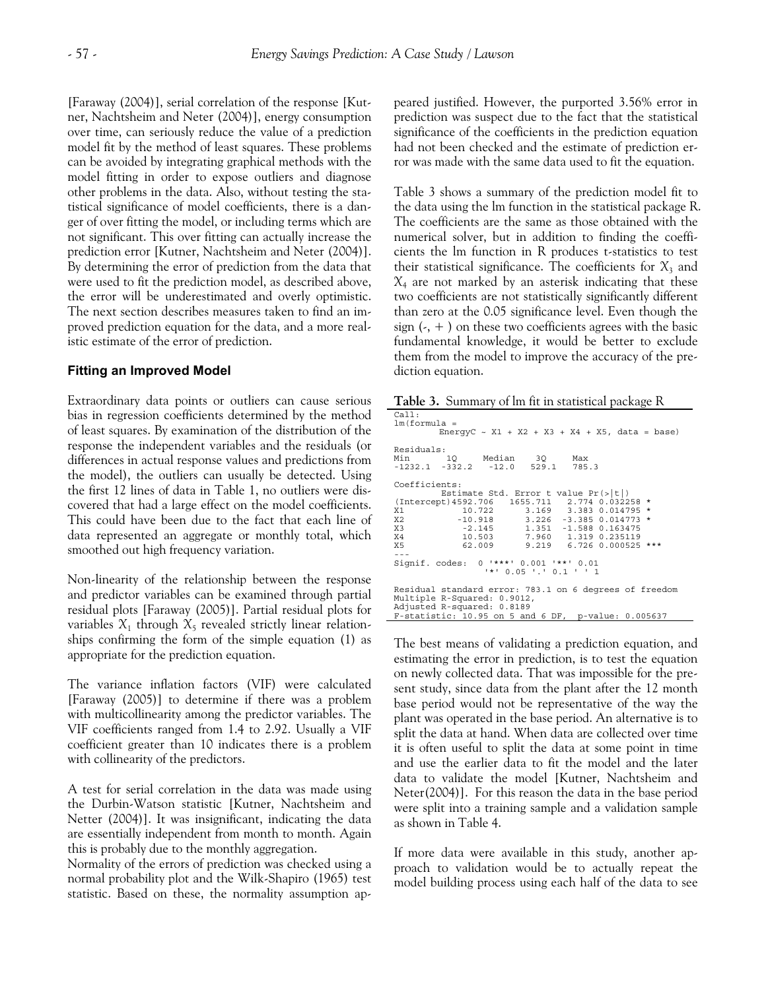[Faraway (2004)], serial correlation of the response [Kutner, Nachtsheim and Neter (2004)], energy consumption over time, can seriously reduce the value of a prediction model fit by the method of least squares. These problems can be avoided by integrating graphical methods with the model fitting in order to expose outliers and diagnose other problems in the data. Also, without testing the statistical significance of model coefficients, there is a danger of over fitting the model, or including terms which are not significant. This over fitting can actually increase the prediction error [Kutner, Nachtsheim and Neter (2004)]. By determining the error of prediction from the data that were used to fit the prediction model, as described above, the error will be underestimated and overly optimistic. The next section describes measures taken to find an improved prediction equation for the data, and a more realistic estimate of the error of prediction.

### **Fitting an Improved Model**

Extraordinary data points or outliers can cause serious bias in regression coefficients determined by the method of least squares. By examination of the distribution of the response the independent variables and the residuals (or differences in actual response values and predictions from the model), the outliers can usually be detected. Using the first 12 lines of data in Table 1, no outliers were discovered that had a large effect on the model coefficients. This could have been due to the fact that each line of data represented an aggregate or monthly total, which smoothed out high frequency variation.

Non-linearity of the relationship between the response and predictor variables can be examined through partial residual plots [Faraway (2005)]. Partial residual plots for variables  $X_1$  through  $X_5$  revealed strictly linear relationships confirming the form of the simple equation (1) as appropriate for the prediction equation.

The variance inflation factors (VIF) were calculated [Faraway (2005)] to determine if there was a problem with multicollinearity among the predictor variables. The VIF coefficients ranged from 1.4 to 2.92. Usually a VIF coefficient greater than 10 indicates there is a problem with collinearity of the predictors.

A test for serial correlation in the data was made using the Durbin-Watson statistic [Kutner, Nachtsheim and Netter (2004)]. It was insignificant, indicating the data are essentially independent from month to month. Again this is probably due to the monthly aggregation.

Normality of the errors of prediction was checked using a normal probability plot and the Wilk-Shapiro (1965) test statistic. Based on these, the normality assumption appeared justified. However, the purported 3.56% error in prediction was suspect due to the fact that the statistical significance of the coefficients in the prediction equation had not been checked and the estimate of prediction error was made with the same data used to fit the equation.

Table 3 shows a summary of the prediction model fit to the data using the lm function in the statistical package R. The coefficients are the same as those obtained with the numerical solver, but in addition to finding the coefficients the lm function in R produces t-statistics to test their statistical significance. The coefficients for  $X_3$  and *X*4 are not marked by an asterisk indicating that these two coefficients are not statistically significantly different than zero at the 0.05 significance level. Even though the sign  $\left( \cdot, + \right)$  on these two coefficients agrees with the basic fundamental knowledge, it would be better to exclude them from the model to improve the accuracy of the prediction equation.

**Table 3.** Summary of lm fit in statistical package R

| $\tilde{}$                                              |  |  |  |  |  |  |  |
|---------------------------------------------------------|--|--|--|--|--|--|--|
| Call:                                                   |  |  |  |  |  |  |  |
| $lm(formula =$                                          |  |  |  |  |  |  |  |
| EnergyC ~ X1 + X2 + X3 + X4 + X5, data = base)          |  |  |  |  |  |  |  |
|                                                         |  |  |  |  |  |  |  |
| Residuals:                                              |  |  |  |  |  |  |  |
| Min 10 Median 30 Max                                    |  |  |  |  |  |  |  |
| $-1232.1$ $-332.2$ $-12.0$ 529.1 785.3                  |  |  |  |  |  |  |  |
| Coefficients:                                           |  |  |  |  |  |  |  |
| Estimate Std. Error t value $Pr(> t )$                  |  |  |  |  |  |  |  |
| (Intercept) 4592.706  1655.711  2.774  0.032258 *       |  |  |  |  |  |  |  |
| 10.722 3.169 3.383 0.014795 *<br>X1                     |  |  |  |  |  |  |  |
|                                                         |  |  |  |  |  |  |  |
| X2 -10.918 3.226 -3.385 0.014773 *                      |  |  |  |  |  |  |  |
| X3 -2.145 1.351 -1.588 0.163475                         |  |  |  |  |  |  |  |
| X4 10.503 7.960 1.319 0.235119                          |  |  |  |  |  |  |  |
| X5 62.009 9.219 6.726 0.000525 ***                      |  |  |  |  |  |  |  |
|                                                         |  |  |  |  |  |  |  |
| Signif. codes: 0 '***' 0.001 '**' 0.01                  |  |  |  |  |  |  |  |
| $'$ *' 0.05 '.' 0.1 ' '1                                |  |  |  |  |  |  |  |
|                                                         |  |  |  |  |  |  |  |
| Residual standard error: 783.1 on 6 degrees of freedom  |  |  |  |  |  |  |  |
| Multiple R-Squared: 0.9012,                             |  |  |  |  |  |  |  |
| Adjusted R-squared: 0.8189                              |  |  |  |  |  |  |  |
| F-statistic: $10.95$ on 5 and 6 DF, p-value: $0.005637$ |  |  |  |  |  |  |  |

The best means of validating a prediction equation, and estimating the error in prediction, is to test the equation on newly collected data. That was impossible for the present study, since data from the plant after the 12 month base period would not be representative of the way the plant was operated in the base period. An alternative is to split the data at hand. When data are collected over time it is often useful to split the data at some point in time and use the earlier data to fit the model and the later data to validate the model [Kutner, Nachtsheim and Neter(2004)]. For this reason the data in the base period were split into a training sample and a validation sample as shown in Table 4.

If more data were available in this study, another approach to validation would be to actually repeat the model building process using each half of the data to see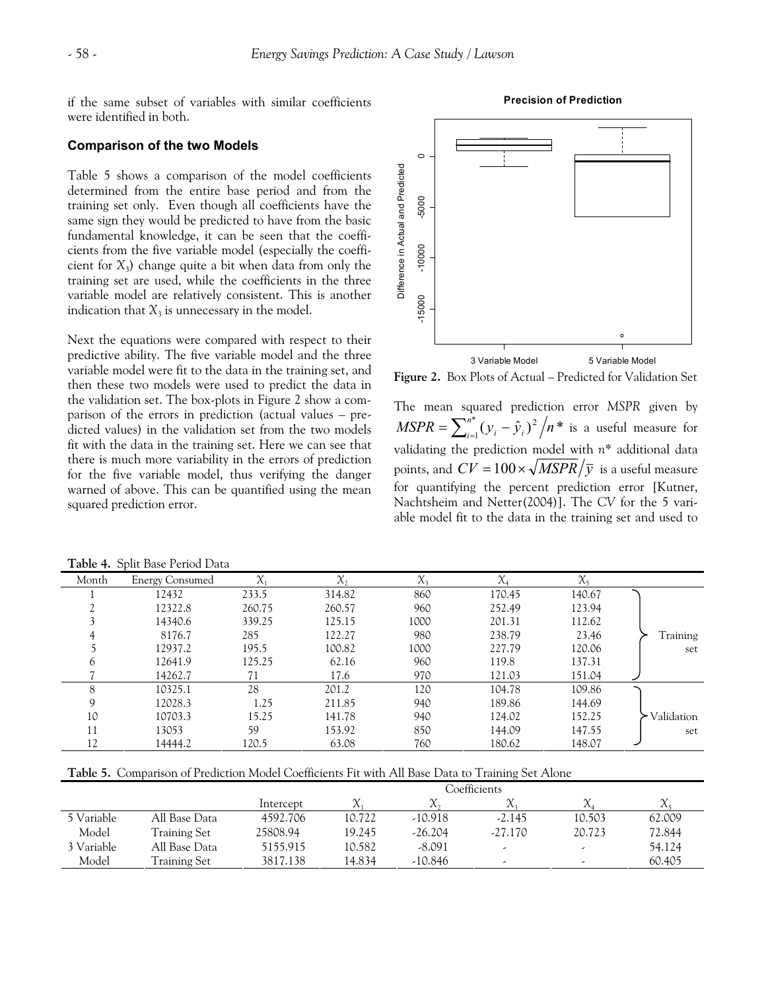if the same subset of variables with similar coefficients were identified in both.

### **Comparison of the two Models**

Table 5 shows a comparison of the model coefficients determined from the entire base period and from the training set only. Even though all coefficients have the same sign they would be predicted to have from the basic fundamental knowledge, it can be seen that the coefficients from the five variable model (especially the coefficient for *X*3) change quite a bit when data from only the training set are used, while the coefficients in the three variable model are relatively consistent. This is another indication that  $X_3$  is unnecessary in the model.

Next the equations were compared with respect to their predictive ability. The five variable model and the three variable model were fit to the data in the training set, and then these two models were used to predict the data in the validation set. The box-plots in Figure 2 show a comparison of the errors in prediction (actual values – predicted values) in the validation set from the two models fit with the data in the training set. Here we can see that there is much more variability in the errors of prediction for the five variable model, thus verifying the danger warned of above. This can be quantified using the mean squared prediction error.



**Figure 2.** Box Plots of Actual – Predicted for Validation Set

The mean squared prediction error *MSPR* given by  $MSPR = \sum_{i=1}^{n^*} (y_i - \hat{y}_i)^2 / n^*$  is a useful measure for validating the prediction model with *n*\* additional data points, and  $CV = 100 \times \sqrt{MSPR/\bar{y}}$  is a useful measure for quantifying the percent prediction error [Kutner, Nachtsheim and Netter(2004)]. The *CV* for the 5 variable model fit to the data in the training set and used to

| Month | <b>Energy Consumed</b> | $\chi_{\scriptscriptstyle{1}}$ | $X_{2}$ | $X_3$ | $\chi_{\scriptscriptstyle\mathcal{A}}$ | $X_5$  |            |  |  |
|-------|------------------------|--------------------------------|---------|-------|----------------------------------------|--------|------------|--|--|
|       | 12432                  | 233.5                          | 314.82  | 860   | 170.45                                 | 140.67 |            |  |  |
|       | 12322.8                | 260.75                         | 260.57  | 960   | 252.49                                 | 123.94 |            |  |  |
|       | 14340.6                | 339.25                         | 125.15  | 1000  | 201.31                                 | 112.62 |            |  |  |
|       | 8176.7                 | 285                            | 122.27  | 980   | 238.79                                 | 23.46  | Training   |  |  |
|       | 12937.2                | 195.5                          | 100.82  | 1000  | 227.79                                 | 120.06 | set        |  |  |
| 6     | 12641.9                | 125.25                         | 62.16   | 960   | 119.8                                  | 137.31 |            |  |  |
|       | 14262.7                | 71                             | 17.6    | 970   | 121.03                                 | 151.04 |            |  |  |
| 8     | 10325.1                | 28                             | 201.2   | 120   | 104.78                                 | 109.86 |            |  |  |
| 9     | 12028.3                | 1.25                           | 211.85  | 940   | 189.86                                 | 144.69 |            |  |  |
| 10    | 10703.3                | 15.25                          | 141.78  | 940   | 124.02                                 | 152.25 | Validation |  |  |
| 11    | 13053                  | 59                             | 153.92  | 850   | 144.09                                 | 147.55 | set        |  |  |
| 12    | 14444.2                | 120.5                          | 63.08   | 760   | 180.62                                 | 148.07 |            |  |  |

**Table 4.** Split Base Period Data

**Table 5.** Comparison of Prediction Model Coefficients Fit with All Base Data to Training Set Alone

|            |               | Coefficients |        |           |                          |                          |        |  |  |
|------------|---------------|--------------|--------|-----------|--------------------------|--------------------------|--------|--|--|
|            |               | Intercept    | X      | $\Lambda$ |                          |                          |        |  |  |
| 5 Variable | All Base Data | 4592.706     | 10.722 | $-10.918$ | $-2.145$                 | 10.503                   | 62.009 |  |  |
| Model      | Training Set  | 25808.94     | 19.245 | $-26.204$ | $-27.170$                | 20.723                   | 72.844 |  |  |
| 3 Variable | All Base Data | 5155.915     | 10.582 | $-8.091$  | $\overline{\phantom{a}}$ | $\overline{\phantom{a}}$ | 54.124 |  |  |
| Model      | Training Set  | 3817.138     | 14.834 | $-10.846$ | ۔                        |                          | 60.405 |  |  |

#### **Precision of Prediction**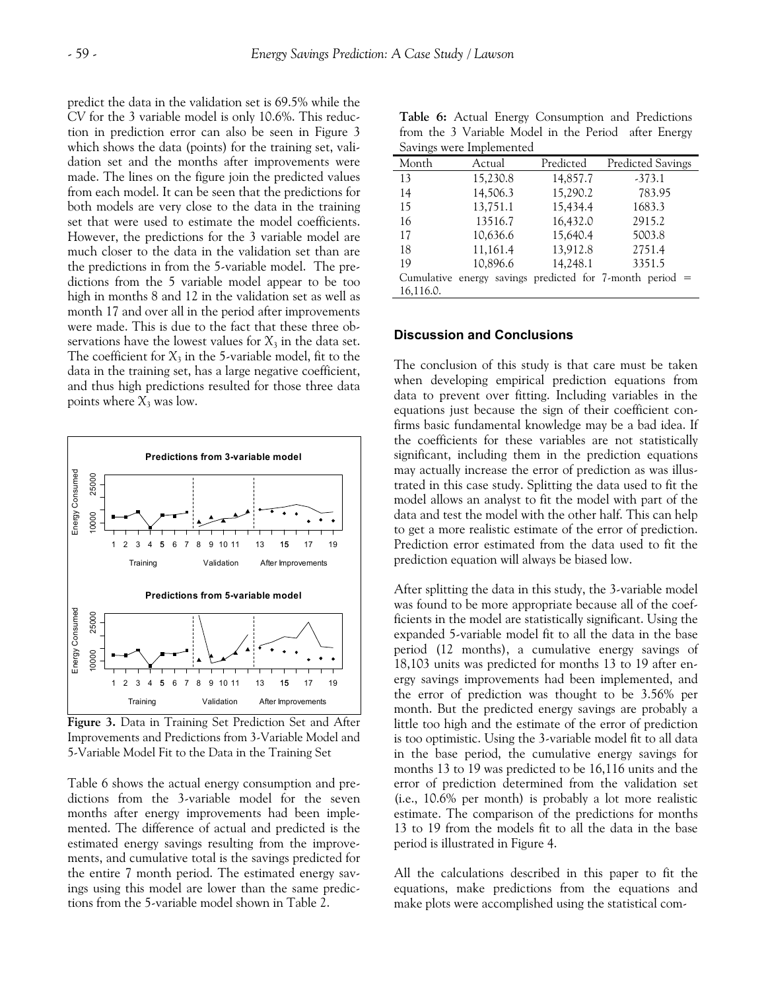predict the data in the validation set is 69.5% while the *CV* for the 3 variable model is only 10.6%. This reduction in prediction error can also be seen in Figure 3 which shows the data (points) for the training set, validation set and the months after improvements were made. The lines on the figure join the predicted values from each model. It can be seen that the predictions for both models are very close to the data in the training set that were used to estimate the model coefficients. However, the predictions for the 3 variable model are much closer to the data in the validation set than are the predictions in from the 5-variable model. The predictions from the 5 variable model appear to be too high in months 8 and 12 in the validation set as well as month 17 and over all in the period after improvements were made. This is due to the fact that these three observations have the lowest values for  $X_3$  in the data set. The coefficient for  $X_3$  in the 5-variable model, fit to the data in the training set, has a large negative coefficient, and thus high predictions resulted for those three data points where  $X_3$  was low.



**Figure 3.** Data in Training Set Prediction Set and After Improvements and Predictions from 3-Variable Model and 5-Variable Model Fit to the Data in the Training Set

Table 6 shows the actual energy consumption and predictions from the 3-variable model for the seven months after energy improvements had been implemented. The difference of actual and predicted is the estimated energy savings resulting from the improvements, and cumulative total is the savings predicted for the entire 7 month period. The estimated energy savings using this model are lower than the same predictions from the 5-variable model shown in Table 2.

|  |                          |  |  |  |  | Table 6: Actual Energy Consumption and Predictions   |
|--|--------------------------|--|--|--|--|------------------------------------------------------|
|  |                          |  |  |  |  | from the 3 Variable Model in the Period after Energy |
|  | Savings were Implemented |  |  |  |  |                                                      |

| $\epsilon$ and $\epsilon$ in $\epsilon$ in $\epsilon$ in $\epsilon$ in $\epsilon$ |          |           |                                                               |  |  |  |  |  |  |  |
|-----------------------------------------------------------------------------------|----------|-----------|---------------------------------------------------------------|--|--|--|--|--|--|--|
| Month                                                                             | Actual   | Predicted | <b>Predicted Savings</b>                                      |  |  |  |  |  |  |  |
| 13                                                                                | 15,230.8 | 14,857.7  | $-373.1$                                                      |  |  |  |  |  |  |  |
| 14                                                                                | 14,506.3 | 15,290.2  | 783.95                                                        |  |  |  |  |  |  |  |
| 15                                                                                | 13,751.1 | 15,434.4  | 1683.3                                                        |  |  |  |  |  |  |  |
| 16                                                                                | 13516.7  | 16,432.0  | 2915.2                                                        |  |  |  |  |  |  |  |
| 17                                                                                | 10,636.6 | 15,640.4  | 5003.8                                                        |  |  |  |  |  |  |  |
| 18                                                                                | 11,161.4 | 13,912.8  | 2751.4                                                        |  |  |  |  |  |  |  |
| 19                                                                                | 10,896.6 | 14,248.1  | 3351.5                                                        |  |  |  |  |  |  |  |
|                                                                                   |          |           | Cumulative energy savings predicted for $7$ -month period $=$ |  |  |  |  |  |  |  |
| 16,116.0.                                                                         |          |           |                                                               |  |  |  |  |  |  |  |

# **Discussion and Conclusions**

The conclusion of this study is that care must be taken when developing empirical prediction equations from data to prevent over fitting. Including variables in the equations just because the sign of their coefficient confirms basic fundamental knowledge may be a bad idea. If the coefficients for these variables are not statistically significant, including them in the prediction equations may actually increase the error of prediction as was illustrated in this case study. Splitting the data used to fit the model allows an analyst to fit the model with part of the data and test the model with the other half. This can help to get a more realistic estimate of the error of prediction. Prediction error estimated from the data used to fit the prediction equation will always be biased low.

After splitting the data in this study, the 3-variable model was found to be more appropriate because all of the coefficients in the model are statistically significant. Using the expanded 5-variable model fit to all the data in the base period (12 months), a cumulative energy savings of 18,103 units was predicted for months 13 to 19 after energy savings improvements had been implemented, and the error of prediction was thought to be 3.56% per month. But the predicted energy savings are probably a little too high and the estimate of the error of prediction is too optimistic. Using the 3-variable model fit to all data in the base period, the cumulative energy savings for months 13 to 19 was predicted to be 16,116 units and the error of prediction determined from the validation set (i.e., 10.6% per month) is probably a lot more realistic estimate. The comparison of the predictions for months 13 to 19 from the models fit to all the data in the base period is illustrated in Figure 4.

All the calculations described in this paper to fit the equations, make predictions from the equations and make plots were accomplished using the statistical com-